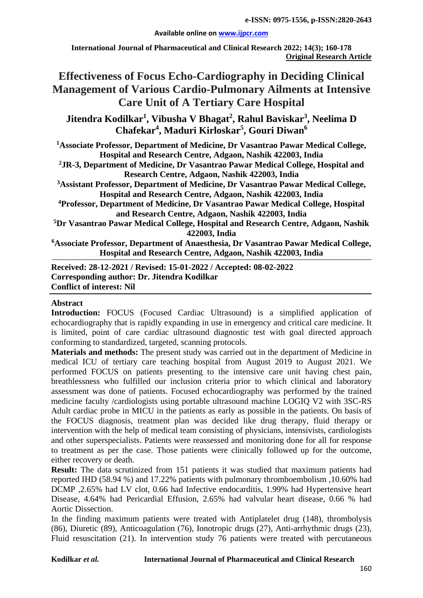#### **Available online on [www.ijpcr.com](http://www.ijpcr.com/)**

**International Journal of Pharmaceutical and Clinical Research 2022; 14(3); 160-178 Original Research Article**

# **Effectiveness of Focus Echo-Cardiography in Deciding Clinical Management of Various Cardio-Pulmonary Ailments at Intensive Care Unit of A Tertiary Care Hospital**

**Jitendra Kodilkar1 , Vibusha V Bhagat<sup>2</sup> , Rahul Baviskar3 , Neelima D Chafekar4 , Maduri Kirloskar5 , Gouri Diwan<sup>6</sup>**

**1 Associate Professor, Department of Medicine, Dr Vasantrao Pawar Medical College, Hospital and Research Centre, Adgaon, Nashik 422003, India**

**2 JR-3, Department of Medicine, Dr Vasantrao Pawar Medical College, Hospital and Research Centre, Adgaon, Nashik 422003, India**

**3 Assistant Professor, Department of Medicine, Dr Vasantrao Pawar Medical College, Hospital and Research Centre, Adgaon, Nashik 422003, India**

**4Professor, Department of Medicine, Dr Vasantrao Pawar Medical College, Hospital and Research Centre, Adgaon, Nashik 422003, India**

**5 Dr Vasantrao Pawar Medical College, Hospital and Research Centre, Adgaon, Nashik 422003, India**

**6Associate Professor, Department of Anaesthesia, Dr Vasantrao Pawar Medical College, Hospital and Research Centre, Adgaon, Nashik 422003, India**

**Received: 28-12-2021 / Revised: 15-01-2022 / Accepted: 08-02-2022 Corresponding author: Dr. Jitendra Kodilkar Conflict of interest: Nil**

#### **Abstract**

**Introduction:** FOCUS (Focused Cardiac Ultrasound) is a simplified application of echocardiography that is rapidly expanding in use in emergency and critical care medicine. It is limited, point of care cardiac ultrasound diagnostic test with goal directed approach conforming to standardized, targeted, scanning protocols.

**Materials and methods:** The present study was carried out in the department of Medicine in medical ICU of tertiary care teaching hospital from August 2019 to August 2021. We performed FOCUS on patients presenting to the intensive care unit having chest pain, breathlessness who fulfilled our inclusion criteria prior to which clinical and laboratory assessment was done of patients. Focused echocardiography was performed by the trained medicine faculty /cardiologists using portable ultrasound machine LOGIQ V2 with 3SC-RS Adult cardiac probe in MICU in the patients as early as possible in the patients. On basis of the FOCUS diagnosis, treatment plan was decided like drug therapy, fluid therapy or intervention with the help of medical team consisting of physicians, intensivists, cardiologists and other superspecialists. Patients were reassessed and monitoring done for all for response to treatment as per the case. Those patients were clinically followed up for the outcome, either recovery or death.

**Result:** The data scrutinized from 151 patients it was studied that maximum patients had reported IHD (58.94 %) and 17.22% patients with pulmonary thromboembolism ,10.60% had DCMP ,2.65% had LV clot, 0.66 had Infective endocarditis, 1.99% had Hypertensive heart Disease, 4.64% had Pericardial Effusion, 2.65% had valvular heart disease, 0.66 % had Aortic Dissection.

In the finding maximum patients were treated with Antiplatelet drug (148), thrombolysis (86), Diuretic (89), Anticoagulation (76), Ionotropic drugs (27), Anti-arrhythmic drugs (23), Fluid resuscitation (21). In intervention study 76 patients were treated with percutaneous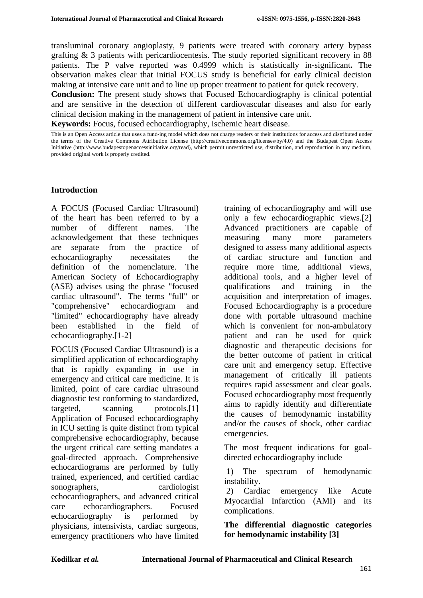transluminal coronary angioplasty, 9 patients were treated with coronary artery bypass grafting & 3 patients with pericardiocentesis. The study reported significant recovery in 88 patients. The P valve reported was 0.4999 which is statistically in-significant**.** The observation makes clear that initial FOCUS study is beneficial for early clinical decision making at intensive care unit and to line up proper treatment to patient for quick recovery.

**Conclusion:** The present study shows that Focused Echocardiography is clinical potential and are sensitive in the detection of different cardiovascular diseases and also for early clinical decision making in the management of patient in intensive care unit.

**Keywords:** Focus, focused echocardiography, ischemic heart disease.

This is an Open Access article that uses a fund-ing model which does not charge readers or their institutions for access and distributed under the terms of the Creative Commons Attribution License (http://creativecommons.org/licenses/by/4.0) and the Budapest Open Access Initiative (http://www.budapestopenaccessinitiative.org/read), which permit unrestricted use, distribution, and reproduction in any medium, provided original work is properly credited.

### **Introduction**

A FOCUS (Focused Cardiac Ultrasound) of the heart has been referred to by a number of different names. The acknowledgement that these techniques are separate from the practice of echocardiography necessitates the definition of the nomenclature. The American Society of Echocardiography (ASE) advises using the phrase "focused cardiac ultrasound". The terms "full" or "comprehensive" echocardiogram and "limited" echocardiography have already been established in the field of echocardiography.[1-2]

FOCUS (Focused Cardiac Ultrasound) is a simplified application of echocardiography that is rapidly expanding in use in emergency and critical care medicine. It is limited, point of care cardiac ultrasound diagnostic test conforming to standardized, targeted, scanning protocols.<sup>[1]</sup> Application of Focused echocardiography in ICU setting is quite distinct from typical comprehensive echocardiography, because the urgent critical care setting mandates a goal-directed approach. Comprehensive echocardiograms are performed by fully trained, experienced, and certified cardiac sonographers, cardiologist echocardiographers, and advanced critical care echocardiographers. Focused echocardiography is performed by physicians, intensivists, cardiac surgeons, emergency practitioners who have limited

training of echocardiography and will use only a few echocardiographic views.[2] Advanced practitioners are capable of measuring many more parameters designed to assess many additional aspects of cardiac structure and function and require more time, additional views, additional tools, and a higher level of qualifications and training in the acquisition and interpretation of images. Focused Echocardiography is a procedure done with portable ultrasound machine which is convenient for non-ambulatory patient and can be used for quick diagnostic and therapeutic decisions for the better outcome of patient in critical care unit and emergency setup. Effective management of critically ill patients requires rapid assessment and clear goals. Focused echocardiography most frequently aims to rapidly identify and differentiate the causes of hemodynamic instability and/or the causes of shock, other cardiac emergencies.

The most frequent indications for goaldirected echocardiography include

1) The spectrum of hemodynamic instability.

2) Cardiac emergency like Acute Myocardial Infarction (AMI) and its complications.

**The differential diagnostic categories for hemodynamic instability [3]**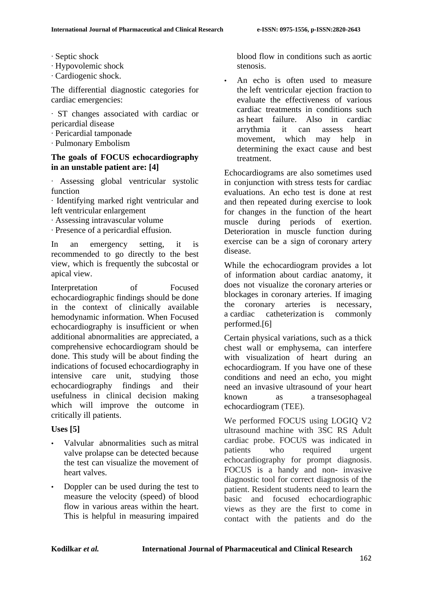∙ Septic shock

∙ Hypovolemic shock

∙ Cardiogenic shock.

The differential diagnostic categories for cardiac emergencies:

∙ ST changes associated with cardiac or pericardial disease

- ∙ Pericardial tamponade
- ∙ Pulmonary Embolism

#### **The goals of FOCUS echocardiography in an unstable patient are: [4]**

∙ Assessing global ventricular systolic function

∙ Identifying marked right ventricular and left ventricular enlargement

- ∙ Assessing intravascular volume
- ∙ Presence of a pericardial effusion.

In an emergency setting, it is recommended to go directly to the best view, which is frequently the subcostal or apical view.

Interpretation of Focused echocardiographic findings should be done in the context of clinically available hemodynamic information. When Focused echocardiography is insufficient or when additional abnormalities are appreciated, a comprehensive echocardiogram should be done. This study will be about finding the indications of focused echocardiography in intensive care unit, studying those echocardiography findings and their usefulness in clinical decision making which will improve the outcome in critically ill patients.

#### **Uses [5]**

- Valvular abnormalities such as [mitral](https://www.verywellhealth.com/does-mitral-valve-prolapse-cause-sudden-death-3971560)  [valve prolapse](https://www.verywellhealth.com/does-mitral-valve-prolapse-cause-sudden-death-3971560) can be detected because the test can visualize the movement of heart valves.
- Doppler can be used during the test to measure the velocity (speed) of blood flow in various areas within the heart. This is helpful in measuring impaired

blood flow in conditions such as [aortic](https://www.verywellhealth.com/what-is-aortic-stenosis-4145315)  [stenosis.](https://www.verywellhealth.com/what-is-aortic-stenosis-4145315)

An echo is often used to measure the [left ventricular ejection fraction](https://www.verywellhealth.com/ejection-fraction-1746036) to evaluate the effectiveness of various cardiac treatments in conditions such as [heart failure.](https://www.verywellhealth.com/heart-failure-4013345) Also in cardiac arrythmia it can assess heart movement, which may help in determining the exact cause and best treatment.

Echocardiograms are also sometimes used in conjunction with [stress tests](https://www.verywellhealth.com/the-cardiac-stress-test-1745248) for cardiac evaluations. An echo test is done at rest and then repeated during exercise to look for changes in the function of the heart muscle during periods of exertion. Deterioration in muscle function during exercise can be a sign of [coronary artery](https://www.verywellhealth.com/coronary-artery-disease-causes-risk-factors-3863633)  [disease.](https://www.verywellhealth.com/coronary-artery-disease-causes-risk-factors-3863633)

While the echocardiogram provides a lot of information about cardiac anatomy, it does not visualize the [coronary](https://www.verywellhealth.com/normal-coronary-arteries-1745390) arteries or blockages in coronary arteries. If imaging<br>the coronary arteries is necessary. the coronary arteries is necessary, a [cardiac catheterization](https://www.verywellhealth.com/cardiac-catheterization-and-angiography-1745251) is commonly performed.[6]

Certain physical variations, such as a thick chest wall or emphysema, can interfere with visualization of heart during an echocardiogram. If you have one of these conditions and need an echo, you might need an invasive ultrasound of your heart known as a [transesophageal](https://www.verywellhealth.com/different-types-of-cosmetic-dental-procedures-1059022)  [echocardiogram](https://www.verywellhealth.com/different-types-of-cosmetic-dental-procedures-1059022) (TEE).

We performed FOCUS using LOGIQ V2 ultrasound machine with 3SC RS Adult cardiac probe. FOCUS was indicated in patients who required urgent echocardiography for prompt diagnosis. FOCUS is a handy and non- invasive diagnostic tool for correct diagnosis of the patient. Resident students need to learn the basic and focused echocardiographic views as they are the first to come in contact with the patients and do the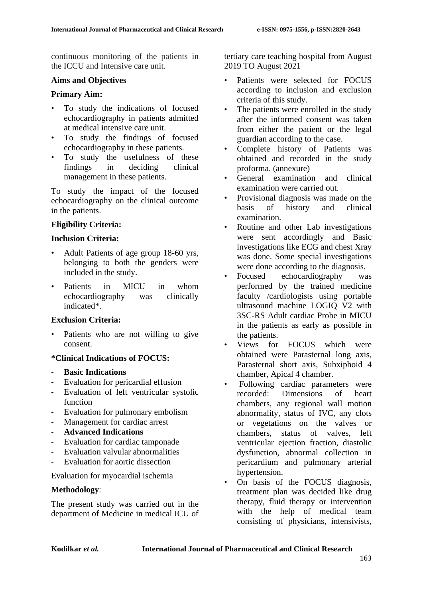continuous monitoring of the patients in the ICCU and Intensive care unit.

#### **Aims and Objectives**

#### **Primary Aim:**

- To study the indications of focused echocardiography in patients admitted at medical intensive care unit.
- To study the findings of focused echocardiography in these patients.
- To study the usefulness of these findings in deciding clinical management in these patients.

To study the impact of the focused echocardiography on the clinical outcome in the patients.

#### **Eligibility Criteria:**

#### **Inclusion Criteria:**

- Adult Patients of age group 18-60 yrs, belonging to both the genders were included in the study.
- Patients in MICU in whom echocardiography was clinically indicated\*.

#### **Exclusion Criteria:**

Patients who are not willing to give consent.

#### **\*Clinical Indications of FOCUS:**

- **Basic Indications**
- Evaluation for pericardial effusion
- Evaluation of left ventricular systolic function
- Evaluation for pulmonary embolism
- Management for cardiac arrest
- **Advanced Indications**
- Evaluation for cardiac tamponade
- Evaluation valvular abnormalities
- Evaluation for aortic dissection

Evaluation for myocardial ischemia

#### **Methodology**:

The present study was carried out in the department of Medicine in medical ICU of tertiary care teaching hospital from August 2019 TO August 2021

- Patients were selected for FOCUS according to inclusion and exclusion criteria of this study.
- The patients were enrolled in the study after the informed consent was taken from either the patient or the legal guardian according to the case.
- Complete history of Patients was obtained and recorded in the study proforma. (annexure)
- General examination and clinical examination were carried out.
- Provisional diagnosis was made on the basis of history and clinical examination.
- Routine and other Lab investigations were sent accordingly and Basic investigations like ECG and chest Xray was done. Some special investigations were done according to the diagnosis.
- Focused echocardiography was performed by the trained medicine faculty /cardiologists using portable ultrasound machine LOGIQ V2 with 3SC-RS Adult cardiac Probe in MICU in the patients as early as possible in the patients.
- Views for FOCUS which were obtained were Parasternal long axis, Parasternal short axis, Subxiphoid 4 chamber, Apical 4 chamber.
- Following cardiac parameters were recorded: Dimensions of heart chambers, any regional wall motion abnormality, status of IVC, any clots or vegetations on the valves or chambers, status of valves, left ventricular ejection fraction, diastolic dysfunction, abnormal collection in pericardium and pulmonary arterial hypertension.
- On basis of the FOCUS diagnosis, treatment plan was decided like drug therapy, fluid therapy or intervention with the help of medical team consisting of physicians, intensivists,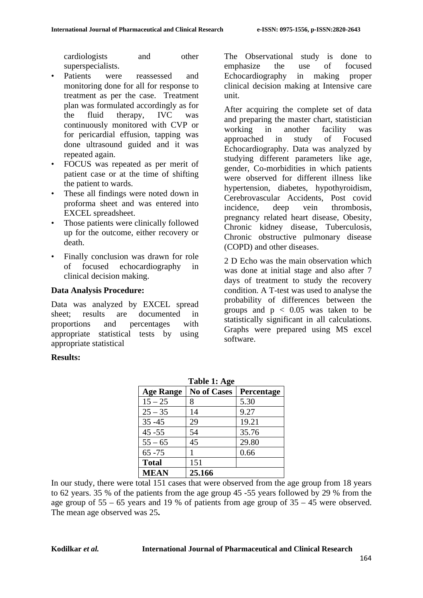cardiologists and other superspecialists.

- Patients were reassessed and monitoring done for all for response to treatment as per the case. Treatment plan was formulated accordingly as for the fluid therapy, IVC was continuously monitored with CVP or for pericardial effusion, tapping was done ultrasound guided and it was repeated again.
- FOCUS was repeated as per merit of patient case or at the time of shifting the patient to wards.
- These all findings were noted down in proforma sheet and was entered into EXCEL spreadsheet.
- Those patients were clinically followed up for the outcome, either recovery or death.
- Finally conclusion was drawn for role of focused echocardiography in clinical decision making.

### **Data Analysis Procedure:**

Data was analyzed by EXCEL spread sheet; results are documented in proportions and percentages with appropriate statistical tests by using appropriate statistical

### **Results:**

The Observational study is done to emphasize the use of focused Echocardiography in making proper clinical decision making at Intensive care unit.

After acquiring the complete set of data and preparing the master chart, statistician working in another facility was approached in study of Focused Echocardiography. Data was analyzed by studying different parameters like age, gender, Co-morbidities in which patients were observed for different illness like hypertension, diabetes, hypothyroidism, Cerebrovascular Accidents, Post covid incidence, deep vein thrombosis, pregnancy related heart disease, Obesity, Chronic kidney disease, Tuberculosis, Chronic obstructive pulmonary disease (COPD) and other diseases.

2 D Echo was the main observation which was done at initial stage and also after 7 days of treatment to study the recovery condition. A T-test was used to analyse the probability of differences between the groups and  $p < 0.05$  was taken to be statistically significant in all calculations. Graphs were prepared using MS excel software.

| Table 1: Age     |                    |                   |  |  |  |  |
|------------------|--------------------|-------------------|--|--|--|--|
| <b>Age Range</b> | <b>No of Cases</b> | <b>Percentage</b> |  |  |  |  |
| $15 - 25$        | 8                  | 5.30              |  |  |  |  |
| $25 - 35$        | 14                 | 9.27              |  |  |  |  |
| $35 - 45$        | 29                 | 19.21             |  |  |  |  |
| $45 - 55$        | 54                 | 35.76             |  |  |  |  |
| $55 - 65$        | 45                 | 29.80             |  |  |  |  |
| $65 - 75$        |                    | 0.66              |  |  |  |  |
| <b>Total</b>     | 151                |                   |  |  |  |  |
| <b>MEAN</b>      | 25.166             |                   |  |  |  |  |

In our study, there were total 151 cases that were observed from the age group from 18 years to 62 years. 35 % of the patients from the age group 45 -55 years followed by 29 % from the age group of  $55 - 65$  years and 19 % of patients from age group of  $35 - 45$  were observed. The mean age observed was 25**.** 

#### **Kodilkar** *et al.* **International Journal of Pharmaceutical and Clinical Research**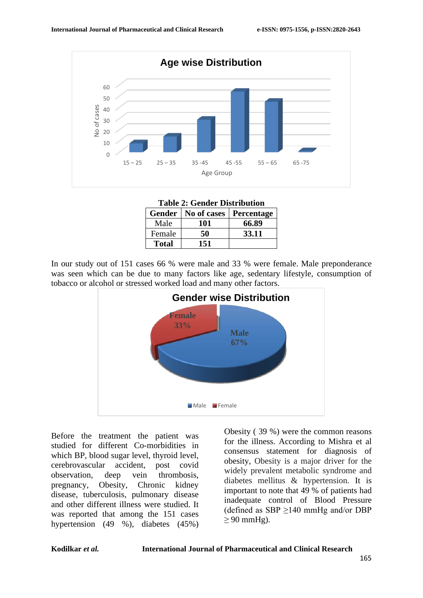

#### **Table 2: Gender Distribution**

| Gender       | No of cases   Percentage |       |
|--------------|--------------------------|-------|
| Male         | 101                      | 66.89 |
| Female       | 50                       | 33.11 |
| <b>Total</b> | 151                      |       |

In our study out of 151 cases 66 % were male and 33 % were female. Male preponderance was seen which can be due to many factors like age, sedentary lifestyle, consumption of tobacco or alcohol or stressed worked load and many other factors.



Before the treatment the patient was studied for different Co-morbidities in which BP, blood sugar level, thyroid level, cerebrovascular accident, post covid observation, deep vein thrombosis, pregnancy, Obesity, Chronic kidney disease, tuberculosis, pulmonary disease and other different illness were studied. It was reported that among the 151 cases hypertension (49 %), diabetes (45%) Obesity ( 39 %) were the common reasons for the illness. According to Mishra et al consensus statement for diagnosis of obesity, Obesity is a major driver for the widely prevalent metabolic syndrome and diabetes mellitus & hypertension. It is important to note that 49 % of patients had inadequate control of Blood Pressure (defined as SBP  $\geq$ 140 mmHg and/or DBP  $> 90$  mmHg).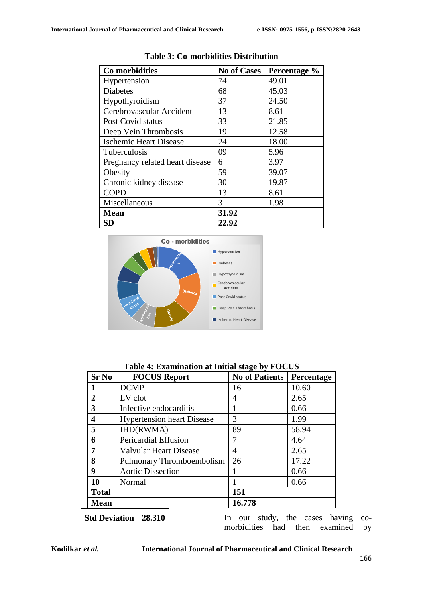| Co morbidities                  | <b>No of Cases</b> | Percentage % |
|---------------------------------|--------------------|--------------|
| Hypertension                    | 74                 | 49.01        |
| <b>Diabetes</b>                 | 68                 | 45.03        |
| Hypothyroidism                  | 37                 | 24.50        |
| Cerebrovascular Accident        | 13                 | 8.61         |
| Post Covid status               | 33                 | 21.85        |
| Deep Vein Thrombosis            | 19                 | 12.58        |
| <b>Ischemic Heart Disease</b>   | 24                 | 18.00        |
| Tuberculosis                    | 09                 | 5.96         |
| Pregnancy related heart disease | 6                  | 3.97         |
| Obesity                         | 59                 | 39.07        |
| Chronic kidney disease          | 30                 | 19.87        |
| <b>COPD</b>                     | 13                 | 8.61         |
| Miscellaneous                   | 3                  | 1.98         |
| <b>Mean</b>                     | 31.92              |              |
| <b>SD</b>                       | 22.92              |              |

#### **Table 3: Co-morbidities Distribution**



**Table 4: Examination at Initial stage by FOCUS**

| <b>Sr No</b>            |                           | <b>FOCUS Report</b>           |                                   | <b>No of Patients</b> | Percentage              |
|-------------------------|---------------------------|-------------------------------|-----------------------------------|-----------------------|-------------------------|
|                         | <b>DCMP</b>               |                               |                                   | 16                    | 10.60                   |
| $\overline{2}$          | LV clot                   |                               |                                   | 4                     | 2.65                    |
| $\overline{\mathbf{3}}$ |                           | Infective endocarditis        |                                   |                       | 0.66                    |
| 4                       |                           |                               | <b>Hypertension heart Disease</b> | 3                     | 1.99                    |
| 5                       |                           | IHD(RWMA)                     |                                   | 89                    | 58.94                   |
| 6                       |                           | Pericardial Effusion          |                                   | 7                     | 4.64                    |
| 7                       | Valvular Heart Disease    |                               |                                   | 4                     | 2.65                    |
| 8                       | Pulmonary Thromboembolism |                               |                                   | 26                    | 17.22                   |
| 9                       | <b>Aortic Dissection</b>  |                               |                                   |                       | 0.66                    |
| 10                      | Normal                    |                               |                                   |                       | 0.66                    |
| <b>Total</b>            |                           |                               |                                   | 151                   |                         |
| <b>Mean</b>             |                           |                               |                                   | 16.778                |                         |
|                         |                           | <b>Std Deviation   28.310</b> |                                   | In.<br>our            | study, the cases having |

morbidities had then examined by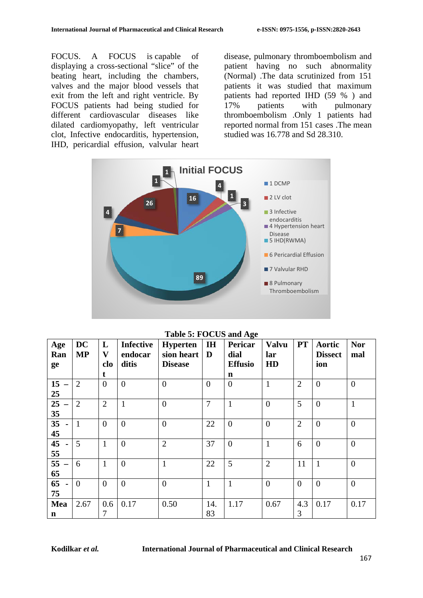FOCUS. A FOCUS is capable of displaying a cross-sectional "slice" of the beating heart, including the chambers, valves and the major blood vessels that exit from the left and right ventricle. By FOCUS patients had being studied for different cardiovascular diseases like dilated cardiomyopathy, left ventricular clot, Infective endocarditis, hypertension, IHD, pericardial effusion, valvular heart disease, pulmonary thromboembolism and patient having no such abnormality (Normal) .The data scrutinized from 151 patients it was studied that maximum patients had reported IHD (59 % ) and 17% patients with pulmonary thromboembolism .Only 1 patients had reported normal from 151 cases .The mean studied was 16.778 and Sd 28.310.



#### **Table 5: FOCUS and Age**

| Age<br>Ran<br>ge           | <b>DC</b><br><b>MP</b> | L<br>$\mathbf{V}$<br>clo<br>t | <b>Infective</b><br>endocar<br>ditis | <b>Hyperten</b><br>sion heart<br><b>Disease</b> | <b>IH</b><br>D | o<br><b>Pericar</b><br>dial<br><b>Effusio</b><br>$\mathbf n$ | <b>Valvu</b><br>lar<br>HD | <b>PT</b>      | Aortic<br><b>Dissect</b><br>ion | <b>Nor</b><br>mal |
|----------------------------|------------------------|-------------------------------|--------------------------------------|-------------------------------------------------|----------------|--------------------------------------------------------------|---------------------------|----------------|---------------------------------|-------------------|
| 15<br>25                   | $\overline{2}$         | $\overline{0}$                | $\overline{0}$                       | $\overline{0}$                                  | $\overline{0}$ | $\overline{0}$                                               | $\mathbf{1}$              | $\overline{2}$ | $\overline{0}$                  | $\theta$          |
| $\overline{25}$<br>35      | $\overline{2}$         | $\overline{2}$                | $\mathbf{1}$                         | $\overline{0}$                                  | $\overline{7}$ | $\mathbf{1}$                                                 | $\overline{0}$            | 5              | $\boldsymbol{0}$                | $\mathbf{1}$      |
| 35<br>45                   | $\mathbf{1}$           | $\overline{0}$                | $\overline{0}$                       | $\overline{0}$                                  | 22             | $\overline{0}$                                               | $\overline{0}$            | $\overline{2}$ | $\overline{0}$                  | $\theta$          |
| 45<br>$\blacksquare$<br>55 | 5                      |                               | $\boldsymbol{0}$                     | $\overline{2}$                                  | 37             | $\overline{0}$                                               | $\mathbf{1}$              | 6              | $\overline{0}$                  | $\theta$          |
| 55<br>65                   | 6                      | $\mathbf{1}$                  | $\overline{0}$                       | $\mathbf{1}$                                    | 22             | 5                                                            | $\overline{2}$            | 11             | $\mathbf{1}$                    | $\overline{0}$    |
| 65<br>75                   | $\Omega$               | $\overline{0}$                | $\overline{0}$                       | $\overline{0}$                                  | $\mathbf{1}$   | $\mathbf{1}$                                                 | $\overline{0}$            | $\overline{0}$ | $\overline{0}$                  | $\overline{0}$    |
| Mea<br>$\mathbf n$         | 2.67                   | 0.6<br>7                      | 0.17                                 | 0.50                                            | 14.<br>83      | 1.17                                                         | 0.67                      | 4.3<br>3       | 0.17                            | 0.17              |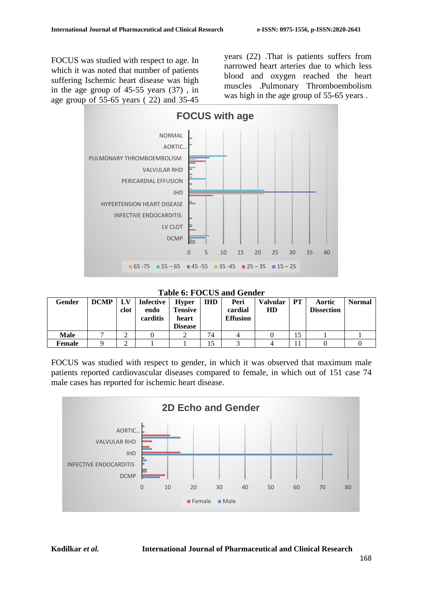FOCUS was studied with respect to age. In which it was noted that number of patients suffering Ischemic heart disease was high in the age group of 45-55 years (37) , in age group of 55-65 years ( 22) and 35-45 years (22) .That is patients suffers from narrowed heart arteries due to which less blood and oxygen reached the heart muscles .Pulmonary Thromboembolism was high in the age group of 55-65 years.



**Table 6: FOCUS and Gender**

| Gender | <b>DCMP</b> | LV<br>clot | Infective<br>endo<br>carditis | <b>Hyper</b><br><b>Tensive</b><br>heart<br><b>Disease</b> | <b>IHD</b> | Peri<br>cardial<br><b>Effusion</b> | Valvular<br>HD | PT | Aortic<br><b>Dissection</b> | <b>Normal</b> |
|--------|-------------|------------|-------------------------------|-----------------------------------------------------------|------------|------------------------------------|----------------|----|-----------------------------|---------------|
| Male   |             |            |                               |                                                           | 74         |                                    |                | 15 |                             |               |
| Female |             |            |                               |                                                           | 15         |                                    |                |    |                             |               |

FOCUS was studied with respect to gender, in which it was observed that maximum male patients reported cardiovascular diseases compared to female, in which out of 151 case 74 male cases has reported for ischemic heart disease.

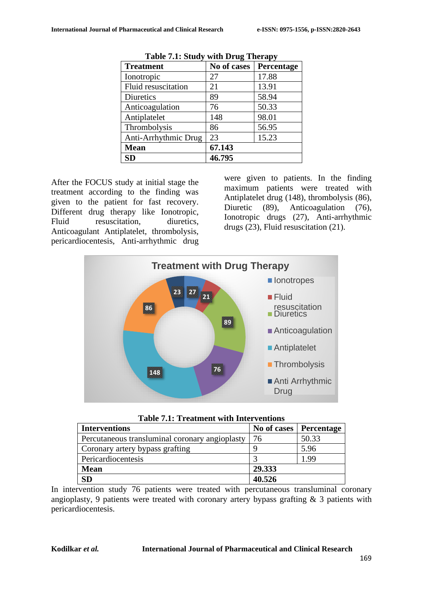| <b>Treatment</b>     | No of cases | Percentage |
|----------------------|-------------|------------|
| Ionotropic           | 27          | 17.88      |
| Fluid resuscitation  | 21          | 13.91      |
| Diuretics            | 89          | 58.94      |
| Anticoagulation      | 76          | 50.33      |
| Antiplatelet         | 148         | 98.01      |
| Thrombolysis         | 86          | 56.95      |
| Anti-Arrhythmic Drug | 23          | 15.23      |
| <b>Mean</b>          | 67.143      |            |
| <b>SD</b>            | 46.795      |            |

|  |  |  |  |  | <b>Table 7.1: Study with Drug Therapy</b> |  |
|--|--|--|--|--|-------------------------------------------|--|
|--|--|--|--|--|-------------------------------------------|--|

After the FOCUS study at initial stage the treatment according to the finding was given to the patient for fast recovery. Different drug therapy like Ionotropic, Fluid resuscitation, diuretics, Anticoagulant Antiplatelet, thrombolysis, pericardiocentesis, Anti-arrhythmic drug were given to patients. In the finding maximum patients were treated with Antiplatelet drug (148), thrombolysis (86), Diuretic (89), Anticoagulation (76), Ionotropic drugs (27), Anti-arrhythmic drugs (23), Fluid resuscitation (21).



| <b>Table 7.1: Treatment with Interventions</b> |  |
|------------------------------------------------|--|
|------------------------------------------------|--|

| <b>Interventions</b>                           | No of cases | <b>Percentage</b> |
|------------------------------------------------|-------------|-------------------|
| Percutaneous transluminal coronary angioplasty | 76          | 50.33             |
| Coronary artery bypass grafting                |             | 5.96              |
| Pericardiocentesis                             |             | 1.99              |
| <b>Mean</b>                                    | 29.333      |                   |
| <b>SD</b>                                      | 40.526      |                   |

In intervention study 76 patients were treated with percutaneous transluminal coronary angioplasty, 9 patients were treated with coronary artery bypass grafting & 3 patients with pericardiocentesis.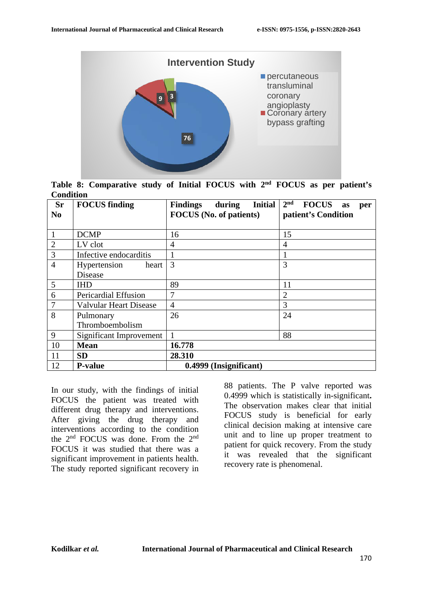

**Table 8: Comparative study of Initial FOCUS with 2nd FOCUS as per patient's Condition** 

| <b>Sr</b>      | <b>FOCUS</b> finding          | <b>Initial</b><br><b>Findings</b><br>during | 2 <sup>nd</sup><br><b>FOCUS</b><br>as<br>per |  |
|----------------|-------------------------------|---------------------------------------------|----------------------------------------------|--|
| N <sub>0</sub> |                               | <b>FOCUS</b> (No. of patients)              | patient's Condition                          |  |
|                | <b>DCMP</b>                   | 16                                          | 15                                           |  |
| $\overline{2}$ | LV clot                       | 4                                           | $\overline{4}$                               |  |
| 3              | Infective endocarditis        |                                             |                                              |  |
| 4              | Hypertension<br>heart         | 3                                           | 3                                            |  |
|                | Disease                       |                                             |                                              |  |
| 5              | <b>IHD</b>                    | 89                                          | 11                                           |  |
| 6              | Pericardial Effusion          | 7                                           | $\overline{2}$                               |  |
| 7              | <b>Valvular Heart Disease</b> | $\overline{4}$                              | 3                                            |  |
| 8              | Pulmonary                     | 26                                          | 24                                           |  |
|                | Thromboembolism               |                                             |                                              |  |
| 9              | Significant Improvement       |                                             | 88                                           |  |
| 10             | <b>Mean</b>                   | 16.778                                      |                                              |  |
| 11             | <b>SD</b>                     | 28.310                                      |                                              |  |
| 12             | <b>P-value</b>                | 0.4999 (Insignificant)                      |                                              |  |

In our study, with the findings of initial FOCUS the patient was treated with different drug therapy and interventions. After giving the drug therapy and interventions according to the condition the 2nd FOCUS was done. From the 2nd FOCUS it was studied that there was a significant improvement in patients health. The study reported significant recovery in

88 patients. The P valve reported was 0.4999 which is statistically in-significant**.**  The observation makes clear that initial FOCUS study is beneficial for early clinical decision making at intensive care unit and to line up proper treatment to patient for quick recovery. From the study it was revealed that the significant recovery rate is phenomenal.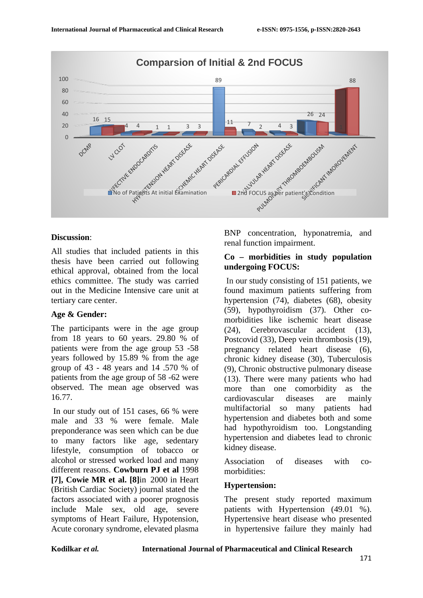

#### **Discussion**:

All studies that included patients in this thesis have been carried out following ethical approval, obtained from the local ethics committee. The study was carried out in the Medicine Intensive care unit at tertiary care center.

#### **Age & Gender:**

The participants were in the age group from 18 years to 60 years. 29.80 % of patients were from the age group 53 -58 years followed by 15.89 % from the age group of 43 - 48 years and 14 .570 % of patients from the age group of 58 -62 were observed. The mean age observed was 16.77.

In our study out of 151 cases, 66 % were male and 33 % were female. Male preponderance was seen which can be due to many factors like age, sedentary lifestyle, consumption of tobacco or alcohol or stressed worked load and many different reasons. **Cowburn PJ et al** 1998 **[7], Cowie MR et al. [8]**in 2000 in Heart (British Cardiac Society) journal stated the factors associated with a poorer prognosis include Male sex, old age, severe symptoms of Heart Failure, Hypotension, Acute coronary syndrome, elevated plasma BNP concentration, hyponatremia, and renal function impairment.

#### **Co – morbidities in study population undergoing FOCUS:**

In our study consisting of 151 patients, we found maximum patients suffering from hypertension (74), diabetes (68), obesity (59), hypothyroidism (37). Other comorbidities like ischemic heart disease (24), Cerebrovascular accident (13), Postcovid (33), Deep vein thrombosis (19), pregnancy related heart disease (6), chronic kidney disease (30), Tuberculosis (9), Chronic obstructive pulmonary disease (13). There were many patients who had more than one comorbidity as the cardiovascular diseases are mainly multifactorial so many patients had hypertension and diabetes both and some had hypothyroidism too. Longstanding hypertension and diabetes lead to chronic kidney disease.

Association of diseases with comorbidities:

#### **Hypertension:**

The present study reported maximum patients with Hypertension (49.01 %). Hypertensive heart disease who presented in hypertensive failure they mainly had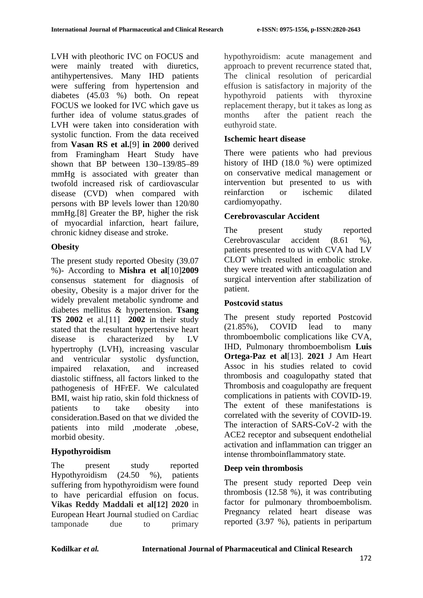LVH with pleothoric IVC on FOCUS and were mainly treated with diuretics, antihypertensives. Many IHD patients were suffering from hypertension and diabetes (45.03 %) both. On repeat FOCUS we looked for IVC which gave us further idea of volume status.grades of LVH were taken into consideration with systolic function. From the data received from **Vasan RS et al.**[9] **in 2000** derived from Framingham Heart Study have shown that BP between 130–139/85–89 mmHg is associated with greater than twofold increased risk of cardiovascular disease (CVD) when compared with persons with BP levels lower than 120/80 mmHg.[8] Greater the BP, higher the risk of myocardial infarction, heart failure, chronic kidney disease and stroke.

# **Obesity**

The present study reported Obesity (39.07 %)- According to **Mishra et al**[10]**2009** consensus statement for diagnosis of obesity, Obesity is a major driver for the widely prevalent metabolic syndrome and diabetes mellitus & hypertension. **Tsang TS 2002** et al.[11] **2002** in their study stated that the resultant hypertensive heart disease is characterized by LV hypertrophy (LVH), increasing vascular and ventricular systolic dysfunction, impaired relaxation, and increased diastolic stiffness, all factors linked to the pathogenesis of HFrEF. We calculated BMI, waist hip ratio, skin fold thickness of patients to take obesity into consideration.Based on that we divided the patients into mild ,moderate ,obese, morbid obesity.

# **Hypothyroidism**

The present study reported Hypothyroidism (24.50 %), patients suffering from hypothyroidism were found to have pericardial effusion on focus. **Vikas Reddy Maddali et al[12] 2020** in European Heart Journal studied on Cardiac tamponade due to primary hypothyroidism: acute management and approach to prevent recurrence stated that, The clinical resolution of pericardial effusion is satisfactory in majority of the hypothyroid patients with thyroxine replacement therapy, but it takes as long as months after the patient reach the euthyroid state.

### **Ischemic heart disease**

There were patients who had previous history of IHD (18.0 %) were optimized on conservative medical management or intervention but presented to us with reinfarction or ischemic dilated cardiomyopathy.

### **Cerebrovascular Accident**

The present study reported Cerebrovascular accident (8.61 %), patients presented to us with CVA had LV CLOT which resulted in embolic stroke. they were treated with anticoagulation and surgical intervention after stabilization of patient.

### **Postcovid status**

The present study reported Postcovid (21.85%), COVID lead to many thromboembolic complications like CVA, IHD, Pulmonary thromboembolism **Luis Ortega-Paz et al**[13]. **2021** J Am Heart Assoc in his studies related to covid thrombosis and coagulopathy stated that Thrombosis and coagulopathy are frequent complications in patients with COVID-19. The extent of these manifestations is correlated with the severity of COVID-19. The interaction of SARS-CoV-2 with the ACE2 receptor and subsequent endothelial activation and inflammation can trigger an intense thromboinflammatory state.

### **Deep vein thrombosis**

The present study reported Deep vein thrombosis (12.58 %), it was contributing factor for pulmonary thromboembolism. Pregnancy related heart disease was reported (3.97 %), patients in peripartum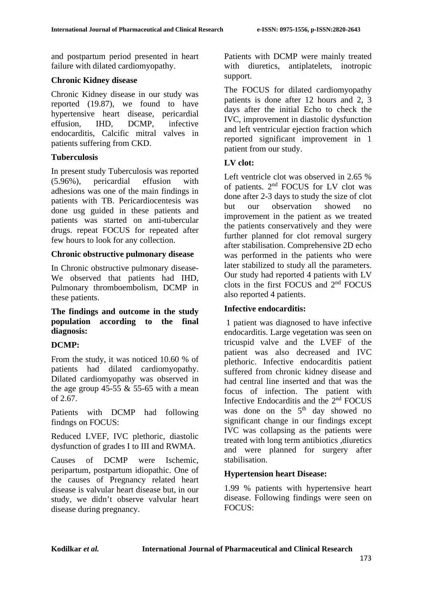and postpartum period presented in heart failure with dilated cardiomyopathy.

#### **Chronic Kidney disease**

Chronic Kidney disease in our study was reported (19.87), we found to have hypertensive heart disease, pericardial effusion, IHD, DCMP, infective endocarditis, Calcific mitral valves in patients suffering from CKD.

# **Tuberculosis**

In present study Tuberculosis was reported (5.96%), pericardial effusion with adhesions was one of the main findings in patients with TB. Pericardiocentesis was done usg guided in these patients and patients was started on anti-tubercular drugs. repeat FOCUS for repeated after few hours to look for any collection.

#### **Chronic obstructive pulmonary disease**

In Chronic obstructive pulmonary disease-We observed that patients had IHD, Pulmonary thromboembolism, DCMP in these patients.

#### **The findings and outcome in the study population according to the final diagnosis:**

### **DCMP:**

From the study, it was noticed 10.60 % of patients had dilated cardiomyopathy. Dilated cardiomyopathy was observed in the age group  $45-55 \& 55-65$  with a mean of 2.67.

Patients with DCMP had following findngs on FOCUS:

Reduced LVEF, IVC plethoric, diastolic dysfunction of grades I to III and RWMA.

Causes of DCMP were Ischemic, peripartum, postpartum idiopathic. One of the causes of Pregnancy related heart disease is valvular heart disease but, in our study, we didn't observe valvular heart disease during pregnancy.

Patients with DCMP were mainly treated with diuretics, antiplatelets, inotropic support.

The FOCUS for dilated cardiomyopathy patients is done after 12 hours and 2, 3 days after the initial Echo to check the IVC, improvement in diastolic dysfunction and left ventricular ejection fraction which reported significant improvement in 1 patient from our study.

### **LV clot:**

Left ventricle clot was observed in 2.65 % of patients. 2nd FOCUS for LV clot was done after 2-3 days to study the size of clot but our observation showed no improvement in the patient as we treated the patients conservatively and they were further planned for clot removal surgery after stabilisation. Comprehensive 2D echo was performed in the patients who were later stabilized to study all the parameters. Our study had reported 4 patients with LV clots in the first FOCUS and 2nd FOCUS also reported 4 patients.

### **Infective endocarditis:**

1 patient was diagnosed to have infective endocarditis. Large vegetation was seen on tricuspid valve and the LVEF of the patient was also decreased and IVC plethoric. Infective endocarditis patient suffered from chronic kidney disease and had central line inserted and that was the focus of infection. The patient with Infective Endocarditis and the 2nd FOCUS was done on the  $5<sup>th</sup>$  day showed no significant change in our findings except IVC was collapsing as the patients were treated with long term antibiotics ,diuretics and were planned for surgery after stabilisation.

### **Hypertension heart Disease:**

1.99 % patients with hypertensive heart disease. Following findings were seen on FOCUS: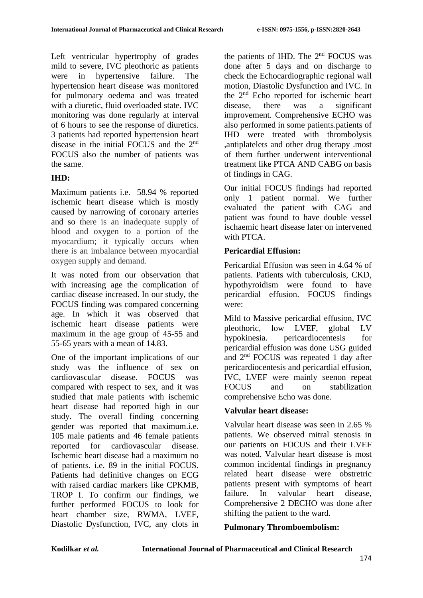Left ventricular hypertrophy of grades mild to severe, IVC pleothoric as patients were in hypertensive failure. The hypertension heart disease was monitored for pulmonary oedema and was treated with a diuretic, fluid overloaded state. IVC monitoring was done regularly at interval of 6 hours to see the response of diuretics. 3 patients had reported hypertension heart disease in the initial FOCUS and the 2nd FOCUS also the number of patients was the same.

# **IHD:**

Maximum patients i.e. 58.94 % reported ischemic heart disease which is mostly caused by narrowing of coronary arteries and so there is an inadequate supply of blood and oxygen to a portion of the myocardium; it typically occurs when there is an imbalance between myocardial oxygen supply and demand.

It was noted from our observation that with increasing age the complication of cardiac disease increased. In our study, the FOCUS finding was compared concerning age. In which it was observed that ischemic heart disease patients were maximum in the age group of 45-55 and 55-65 years with a mean of 14.83.

One of the important implications of our study was the influence of sex on cardiovascular disease. FOCUS was compared with respect to sex, and it was studied that male patients with ischemic heart disease had reported high in our study. The overall finding concerning gender was reported that maximum.i.e. 105 male patients and 46 female patients reported for cardiovascular disease. Ischemic heart disease had a maximum no of patients. i.e. 89 in the initial FOCUS. Patients had definitive changes on ECG with raised cardiac markers like CPKMB, TROP I. To confirm our findings, we further performed FOCUS to look for heart chamber size, RWMA, LVEF, Diastolic Dysfunction, IVC, any clots in the patients of IHD. The 2<sup>nd</sup> FOCUS was done after 5 days and on discharge to check the Echocardiographic regional wall motion, Diastolic Dysfunction and IVC. In the  $2<sup>nd</sup>$  Echo reported for ischemic heart<br>disease, there was a significant disease, there was a significant improvement. Comprehensive ECHO was also performed in some patients.patients of IHD were treated with thrombolysis ,antiplatelets and other drug therapy .most of them further underwent interventional treatment like PTCA AND CABG on basis of findings in CAG.

Our initial FOCUS findings had reported only 1 patient normal. We further evaluated the patient with CAG and patient was found to have double vessel ischaemic heart disease later on intervened with PTCA.

### **Pericardial Effusion:**

Pericardial Effusion was seen in 4.64 % of patients. Patients with tuberculosis, CKD, hypothyroidism were found to have pericardial effusion. FOCUS findings were:

Mild to Massive pericardial effusion, IVC pleothoric, low LVEF, global LV hypokinesia. pericardiocentesis for pericardial effusion was done USG guided and 2nd FOCUS was repeated 1 day after pericardiocentesis and pericardial effusion, IVC, LVEF were mainly seenon repeat FOCUS and on stabilization comprehensive Echo was done.

### **Valvular heart disease:**

Valvular heart disease was seen in 2.65 % patients. We observed mitral stenosis in our patients on FOCUS and their LVEF was noted. Valvular heart disease is most common incidental findings in pregnancy related heart disease were obstretric patients present with symptoms of heart failure. In valvular heart disease, Comprehensive 2 DECHO was done after shifting the patient to the ward.

### **Pulmonary Thromboembolism:**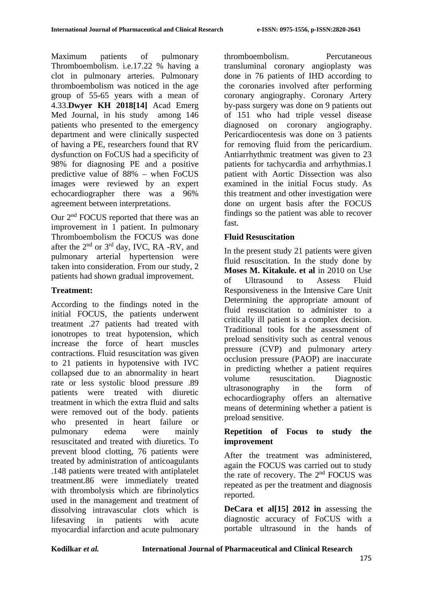Maximum patients of pulmonary Thromboembolism. i.e.17.22 % having a clot in pulmonary arteries. Pulmonary thromboembolism was noticed in the age group of 55-65 years with a mean of 4.33.**Dwyer KH 2018[14]** Acad Emerg Med Journal, in his study among 146 patients who presented to the emergency department and were clinically suspected of having a PE, researchers found that RV dysfunction on FoCUS had a specificity of 98% for diagnosing PE and a positive predictive value of 88% – when FoCUS images were reviewed by an expert echocardiographer there was a 96% agreement between interpretations.

Our 2nd FOCUS reported that there was an improvement in 1 patient. In pulmonary Thromboembolism the FOCUS was done after the 2nd or 3rd day, IVC, RA -RV, and pulmonary arterial hypertension were taken into consideration. From our study, 2 patients had shown gradual improvement.

# **Treatment:**

According to the findings noted in the initial FOCUS, the patients underwent treatment .27 patients had treated with ionotropes to treat hypotension, which increase the force of heart muscles contractions. Fluid resuscitation was given to 21 patients in hypotensive with IVC collapsed due to an abnormality in heart rate or less systolic blood pressure .89 patients were treated with diuretic treatment in which the extra fluid and salts were removed out of the body. patients who presented in heart failure or pulmonary edema were mainly resuscitated and treated with diuretics. To prevent blood clotting, 76 patients were treated by administration of anticoagulants .148 patients were treated with antiplatelet treatment.86 were immediately treated with thrombolysis which are fibrinolytics used in the management and treatment of dissolving intravascular clots which is lifesaving in patients with acute myocardial infarction and acute pulmonary thromboembolism. Percutaneous transluminal coronary angioplasty was done in 76 patients of IHD according to the coronaries involved after performing coronary angiography. Coronary Artery by-pass surgery was done on 9 patients out of 151 who had triple vessel disease diagnosed on coronary angiography. Pericardiocentesis was done on 3 patients for removing fluid from the pericardium. Antiarrhythmic treatment was given to 23 patients for tachycardia and arrhythmias.1 patient with Aortic Dissection was also examined in the initial Focus study. As this treatment and other investigation were done on urgent basis after the FOCUS findings so the patient was able to recover fast.

# **Fluid Resuscitation**

In the present study 21 patients were given fluid resuscitation. In the study done by **Moses M. Kitakule. et al** in 2010 on Use of Ultrasound to Assess Fluid Responsiveness in the Intensive Care Unit Determining the appropriate amount of fluid resuscitation to administer to a critically ill patient is a complex decision. Traditional tools for the assessment of preload sensitivity such as central venous pressure (CVP) and pulmonary artery occlusion pressure (PAOP) are inaccurate in predicting whether a patient requires volume resuscitation. Diagnostic ultrasonography in the form of echocardiography offers an alternative means of determining whether a patient is preload sensitive.

### **Repetition of Focus to study the improvement**

After the treatment was administered, again the FOCUS was carried out to study the rate of recovery. The 2nd FOCUS was repeated as per the treatment and diagnosis reported.

**DeCara et al[15] 2012 in** assessing the diagnostic accuracy of FoCUS with a portable ultrasound in the hands of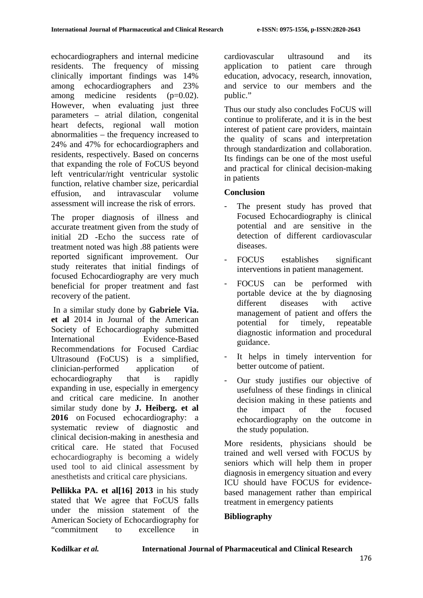echocardiographers and internal medicine residents. The frequency of missing clinically important findings was 14% among echocardiographers and 23% among medicine residents (p=0.02). However, when evaluating just three parameters – atrial dilation, congenital heart defects, regional wall motion abnormalities – the frequency increased to 24% and 47% for echocardiographers and residents, respectively. Based on concerns that expanding the role of FoCUS beyond left ventricular/right ventricular systolic function, relative chamber size, pericardial effusion, and intravascular volume assessment will increase the risk of errors.

The proper diagnosis of illness and accurate treatment given from the study of initial 2D -Echo the success rate of treatment noted was high .88 patients were reported significant improvement. Our study reiterates that initial findings of focused Echocardiography are very much beneficial for proper treatment and fast recovery of the patient.

In a similar study done by **Gabriele Via. et al** 2014 in Journal of the American Society of Echocardiography submitted International Evidence-Based Recommendations for Focused Cardiac Ultrasound (FoCUS) is a simplified, clinician-performed application of echocardiography that is rapidly expanding in use, especially in emergency and critical care medicine. In another similar study done by **J. Heiberg. et al 2016** on Focused echocardiography: a systematic review of diagnostic and clinical decision-making in anesthesia and critical care. He stated that Focused echocardiography is becoming a widely used tool to aid clinical assessment by anesthetists and critical care physicians.

Pellikka PA. et al<sup>[16]</sup> 2013 in his study stated that We agree that FoCUS falls under the mission statement of the American Society of Echocardiography for "commitment to excellence in cardiovascular ultrasound and its application to patient care through education, advocacy, research, innovation, and service to our members and the public."

Thus our study also concludes FoCUS will continue to proliferate, and it is in the best interest of patient care providers, maintain the quality of scans and interpretation through standardization and collaboration. Its findings can be one of the most useful and practical for clinical decision-making in patients

# **Conclusion**

- The present study has proved that Focused Echocardiography is clinical potential and are sensitive in the detection of different cardiovascular diseases.
- FOCUS establishes significant interventions in patient management.
- FOCUS can be performed with portable device at the by diagnosing different diseases with active management of patient and offers the potential for timely, repeatable diagnostic information and procedural guidance.
- It helps in timely intervention for better outcome of patient.
- Our study justifies our objective of usefulness of these findings in clinical decision making in these patients and the impact of the focused echocardiography on the outcome in the study population.

More residents, physicians should be trained and well versed with FOCUS by seniors which will help them in proper diagnosis in emergency situation and every ICU should have FOCUS for evidencebased management rather than empirical treatment in emergency patients

# **Bibliography**